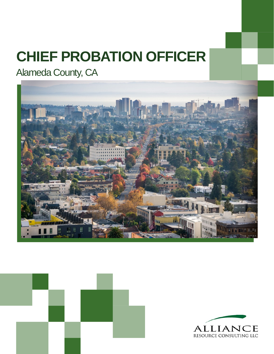# **CHIEF PROBATION OFFICER**

Alameda County, CA





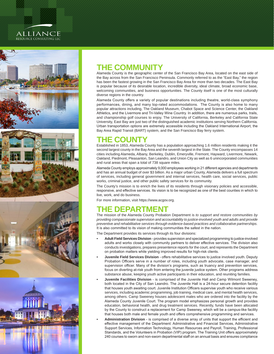### **ALLIANCE** RESOURCE CONSULTING LLC







### **THE COMMUNITY**

Alameda County is the geographic center of the San Francisco Bay Area, located on the east side of the Bay across from the San Francisco Peninsula. Commonly referred to as the "East Bay," the region has been the fastest growing in the San Francisco Bay Area for more than two decades. The East Bay is popular because of its desirable location, incredible diversity, ideal climate, broad economic base, welcoming communities, and business opportunities. The County itself is one of the most culturally diverse regions in the country.

Alameda County offers a variety of popular destinations including theatre, world-class symphony performances, dining, and many top-rated accommodations. The County is also home to many popular attractions including, The Oakland Museum, Chabot Space and Science Center, the Oakland Athletics, and the Livermore and Tri-Valley Wine Country. In addition, there are numerous parks, trails, and championship golf courses to enjoy. The University of California, Berkeley and California State University, East Bay are just two of the distinguished academic institutions serving Northern California. Urban transportation options are extremely accessible including the Oakland International Airport, the Bay Area Rapid Transit (BART) system, and the San Francisco Bay ferry system.

### **THE COUNTY**

Established in 1853, Alameda County has a population approaching 1.6 million residents making it the second largest county in the Bay Area and the seventh largest in the State. The County encompasses 14 cities including Alameda, Albany, Berkeley, Dublin, Emeryville, Fremont, Hayward, Livermore, Newark, Oakland, Piedmont, Pleasanton, San Leandro, and Union City as well as 6 unincorporated communities and rural areas that span a total of 738 square miles.

Alameda County employs approximately 9,000 employees working in 21 different agencies and departments and has an annual budget of over \$3 billion. As a major urban County, Alameda delivers a full spectrum of services, including general government and internal services, health care, social services, public works, criminal justice, and other public safety services for its community.

The County's mission is to enrich the lives of its residents through visionary policies and accessible, responsive, and effective services. Its vision is to be recognized as one of the best counties in which to live, work, and do business.

For more information, visit <https://www.acgov.org>.

### **E DEPARTM**

The mission of the Alameda County Probation Department is *to support and restore communities by providing compassionate supervision and accountability to justice-involved youth and adults and provide preventive and rehabilitative services through evidence-based practices and collaborative partnerships.*  It is also committed to its vision of making communities the safest in the nation.

The Department provides its services through its four divisions:

- **• Adult Field Services Division**  provides supervision and specialized programming to justice-involved adults and works closely with community partners to deliver effective services. The division also conducts investigations, prepares presentence reports for the court, and represents the Department on probation matters while yielding improved results for high-risk clients.
- **• Juvenile Field Services Division**  offers rehabilitative services to justice involved youth. Deputy Probation Officers serve in a number of roles, including youth advocate, case manager, and supervision officer. Many of the division's programs, such as truancy and prevention services, focus on diverting at-risk youth from entering the juvenile justice system. Other programs address substance abuse, keeping youth active participants in their education, and reuniting families.
- **• Juvenile Facilities Division**  is comprised of the Juvenile Hall and Camp Wilmont Sweeney, both located in the City of San Leandro. The Juvenile Hall is a 24-hour secure detention facility that houses youth awaiting court. Juvenile Institution Officers supervise youth who receive various services, including academic programming, job training, medical care, and mental health services, among others. Camp Sweeney houses adolescent males who are ordered into the facility by the Alameda County Juvenile Court. The program model emphasizes personal growth and provides education, behavioral health, and drug treatment services. Recently, funds have been allocated by the County to construct a replacement for Camp Sweeney, which will be a campus-like facility that houses both male and female youth and offers comprehensive programming and services.
- **• Administration Division**  is comprised of a diverse array of units that support the efficient and effective management of the Department: Administrative and Financial Services, Administrative Support Services, Information Technology, Human Resources and Payroll, Training, Professional Standards, and the Volunteers in Probation (VIP) program. The Training Unit offers approximately 240 courses to sworn and non-sworn departmental staff on an annual basis and ensures compliance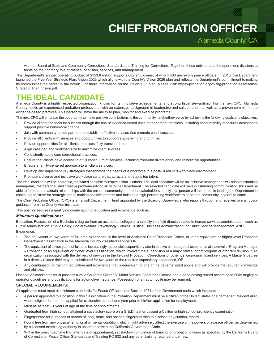## **CHIEF PROBATION OFFICER**

Alameda County, CA

with the Board of State and Community Corrections' Standards and Training for Corrections. Together, these units enable the operations divisions to focus on their primary role of client supervision, services, and management.

The Department's annual operating budget of \$153.8 million supports 682 employees, of whom 486 are sworn peace officers. In 2018, the Department launched the Five-Year Strategic Plan: Vision 2023 which aligns with the County's Vision 2026 plan and reflects the Department's commitment to making its communities the safest in the nation. For more information on the Vision2023 plan, please visit: [https://probation.acgov.org/probation-assets/files/](https://probation.acgov.org/probation-assets/files/Strategic_Plan_Vision.pdf) [Strategic\\_Plan\\_Vision.pdf](https://probation.acgov.org/probation-assets/files/Strategic_Plan_Vision.pdf).

### **CANDIDATE**

Alameda County is a highly respected organization known for its innovative achievements, and strong fiscal stewardship. For the next CPO, Alameda County seeks an experienced probation professional with an extensive background in leadership and collaboration, as well as a proven commitment to evidence-based practices. This person will have the ability to plan, monitor and execute programs.

The next CPO will embrace the opportunity to make positive contributions to the community he/she/they serve by achieving the following goals and objectives:

- Provide clients the tools for success through the use of evidence-based case management practices, including accountability measures designed to support positive behavioral change.
- Join with community-based partners to establish effective services that promote client success.
- Provide all clients with services and opportunities to support stable living and to thrive.
- Provide opportunities for all clients to successfully transition home.
- Align caseload and workload size to maximize client success.
- Consistently apply core correctional practices.
- Ensure that clients have access to a full continuum of services, including front-end diversionary and restorative opportunities.
- Ensure a family-centered approach to all client services.
- Develop and implement key strategies that address the needs of a workforce in a post-COVID-19 workplace environment.
- Promote a diverse and inclusive workplace culture that attracts and retains top talent.

The ideal candidate will be energetic, motivated and able to inspire action in others. The ideal candidate will be an inclusive manager and will bring outstanding managerial, interpersonal, and creative problem-solving skills to the Department. The selected candidate will have outstanding communication skills and be able to foster and maintain relationships with the unions, community and other stakeholders. Lastly, this person will take pride in leading the Department in continuing to strive for strategic goals, making positive impacts and building a high performing workforce to serve the community in years to come.

The Chief Probation Officer (CPO) is an at-will Department Head appointed by the Board of Supervisors who reports through and receives overall policy guidance from the County Administrator.

This position requires a qualifying combination of education and experience such as:

#### *Minimum Qualifications:*

Education: Possession of a Bachelor's degree from an accredited college or university in a field directly related to human services administration, such as Public Administration, Public Policy, Social Welfare, Psychology, Criminal Justice, Business Administration, or Public Service Management; AND, Experience:

- The equivalent of two years of full-time experience at the level of Assistant Chief Probation Officer, or in an equivalent or higher level Probation Department classification in the Alameda County classified service; OR
- The equivalent of seven years of full-time increasingly responsible supervisory administrative or managerial experience at the level of Program Manager – Probation or an equivalent or higher level classification, which involved the supervision of a major staff support program or program division in an organization associated with the delivery of services in the fields of Probation, Corrections or other justice programs and services. A Master's degree in a directly related field may be substituted for two years of the required supervisory experience, OR
- Any combination of training, education and experience that is equivalent to one of the patterns listed above and will provide the required knowledge and abilities.

License: All candidates must possess a valid California Class "C" Motor Vehicle Operator's License and a good driving record according to DMV negligent operator guidelines and qualifications for automotive insurance. Possession of an automobile may be required.

#### **SPECIAL REQUIREMENTS:**

All applicants must meet all minimum standards for Peace Officer under Section 1031 of the Government code which includes:

- A person appointed to a position in this classification in the Probation Department must be a citizen of the United States or a permanent resident alien who is eligible for and has applied for citizenship at least one year prior to his/her application for employment.
- Must be at least 21 years of age at the time of appointments.
- Graduated from high school, attained a satisfactory score on a G.E.D. test or passed a California high school proficiency examination.
- Fingerprinted for purposes of search of local, state, and national fingerprint files to disclose any criminal record.
- Found free from any physical, emotional or mental condition, which might adversely affect the exercise of the powers of a peace officer, as determined by a licensed examining authority in accordance with the California Government Code.
- Within the prescribed time limit after date of appointment, satisfactory completion of training for probation officers as specified by the California Board of Corrections, Peace Officer Standards and Training PC 832 and any other training required under law.